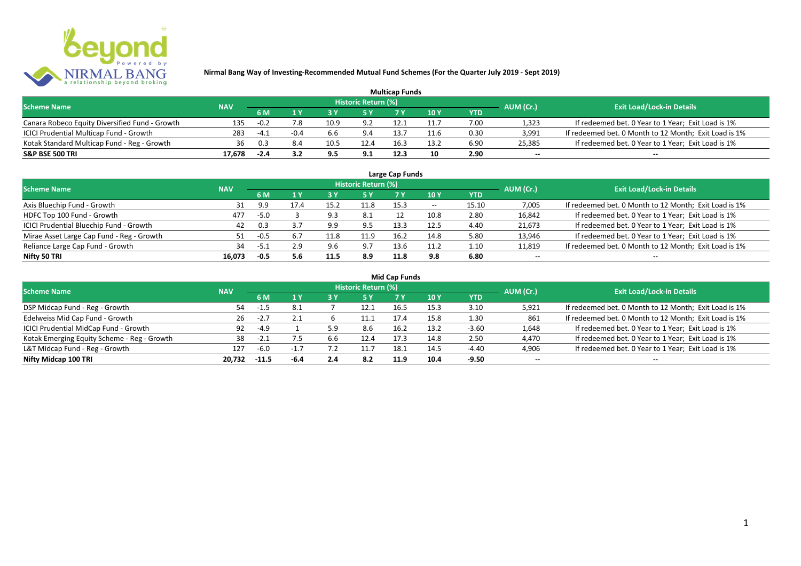

| <b>Multicap Funds</b>                          |            |        |        |      |                            |      |      |      |                          |                                                       |  |  |  |
|------------------------------------------------|------------|--------|--------|------|----------------------------|------|------|------|--------------------------|-------------------------------------------------------|--|--|--|
| <b>Scheme Name</b>                             | <b>NAV</b> |        |        |      | <b>Historic Return (%)</b> |      |      |      | AUM (Cr.)                | <b>Exit Load/Lock-in Details</b>                      |  |  |  |
|                                                |            | 6 M    |        |      |                            |      | 10Y  | YTD  |                          |                                                       |  |  |  |
| Canara Robeco Equity Diversified Fund - Growth | 135        | $-0.2$ |        | 10.9 | 9.2                        |      |      | 7.00 | 1,323                    | If redeemed bet. 0 Year to 1 Year; Exit Load is 1%    |  |  |  |
| ICICI Prudential Multicap Fund - Growth        | 283        | $-4.1$ | $-0.4$ | 6.6  | 9.4                        | 13.7 | 11.6 | 0.30 | 3,991                    | If redeemed bet. 0 Month to 12 Month; Exit Load is 1% |  |  |  |
| Kotak Standard Multicap Fund - Reg - Growth    | 36         | 0.3    | 8.4    | 10.5 | 12.4                       | 16.3 | 13.2 | 6.90 | 25,385                   | If redeemed bet. 0 Year to 1 Year; Exit Load is 1%    |  |  |  |
| S&P BSE 500 TRI                                | 17.678     | -2.4   |        | 9.5  | 9.1                        | 12.3 | 10   | 2.90 | $\overline{\phantom{a}}$ | $\overline{\phantom{a}}$                              |  |  |  |

| Large Cap Funds<br>Historic Return (%)    |            |        |      |      |      |      |       |            |                          |                                                       |  |  |  |  |
|-------------------------------------------|------------|--------|------|------|------|------|-------|------------|--------------------------|-------------------------------------------------------|--|--|--|--|
| <b>Scheme Name</b>                        | <b>NAV</b> |        | 1 Y  |      | 5 Y  |      | 10Y   | <b>YTD</b> | AUM (Cr.)                | <b>Exit Load/Lock-in Details</b>                      |  |  |  |  |
|                                           |            | 6 M    |      |      |      |      |       |            |                          |                                                       |  |  |  |  |
| Axis Bluechip Fund - Growth               |            | 9.9    | 17.4 | 15.2 | 11.8 | 15.3 | $- -$ | 15.10      | 7,005                    | If redeemed bet. 0 Month to 12 Month; Exit Load is 1% |  |  |  |  |
| HDFC Top 100 Fund - Growth                | 477        | $-5.0$ |      | 9.3  | 8.1  |      | 10.8  | 2.80       | 16,842                   | If redeemed bet. 0 Year to 1 Year; Exit Load is 1%    |  |  |  |  |
| ICICI Prudential Bluechip Fund - Growth   | 42         | 0.3    |      | 9.9  | 9.5  | 13.3 | 12.5  | 4.40       | 21,673                   | If redeemed bet. 0 Year to 1 Year; Exit Load is 1%    |  |  |  |  |
| Mirae Asset Large Cap Fund - Reg - Growth |            | $-0.5$ |      | 11.8 | 11.9 | 16.2 | 14.8  | 5.80       | 13,946                   | If redeemed bet. 0 Year to 1 Year; Exit Load is 1%    |  |  |  |  |
| Reliance Large Cap Fund - Growth          | 34         | -5.1   | 2.9  | 9.6  | 9.7  | 13.6 | 11.2  | 1.10       | 11,819                   | If redeemed bet. 0 Month to 12 Month; Exit Load is 1% |  |  |  |  |
| Nifty 50 TRI                              | 16.073     | $-0.5$ | 5.6  | 11.5 | 8.9  | 11.8 | 9.8   | 6.80       | $\overline{\phantom{a}}$ | $\overline{\phantom{a}}$                              |  |  |  |  |

| <b>Mid Cap Funds</b>                        |            |        |      |     |                            |      |       |            |           |                                                       |  |  |  |  |
|---------------------------------------------|------------|--------|------|-----|----------------------------|------|-------|------------|-----------|-------------------------------------------------------|--|--|--|--|
| <b>Scheme Name</b>                          | <b>NAV</b> |        |      |     | <b>Historic Return (%)</b> |      |       |            | AUM (Cr.) | <b>Exit Load/Lock-in Details</b>                      |  |  |  |  |
|                                             |            | 6 M    | 1 Y  | 3 Y | <b>5Y</b>                  | 7 Y  | 710 Y | <b>YTD</b> |           |                                                       |  |  |  |  |
| DSP Midcap Fund - Reg - Growth              | 54         | -1.5   | 8.1  |     | 12.1                       | 16.5 | 15.3  | 3.10       | 5,921     | If redeemed bet. 0 Month to 12 Month; Exit Load is 1% |  |  |  |  |
| Edelweiss Mid Cap Fund - Growth             | 26         | -2.7   | 2.1  |     | 11.1                       |      | 15.8  | 1.30       | 861       | If redeemed bet. 0 Month to 12 Month; Exit Load is 1% |  |  |  |  |
| ICICI Prudential MidCap Fund - Growth       | 92         | $-4.9$ |      | : a | 8.6                        | 16.2 | 13.2  | $-3.60$    | 1,648     | If redeemed bet. 0 Year to 1 Year; Exit Load is 1%    |  |  |  |  |
| Kotak Emerging Equity Scheme - Reg - Growth | 38         | $-2.1$ |      | 6.6 | 12.4                       | 17.3 | 14.8  | 2.50       | 4,470     | If redeemed bet. 0 Year to 1 Year; Exit Load is 1%    |  |  |  |  |
| L&T Midcap Fund - Reg - Growth              | 127        | -6.0   |      |     | 11.7                       | 18.1 | 14.5  | $-4.40$    | 4,906     | If redeemed bet. 0 Year to 1 Year; Exit Load is 1%    |  |  |  |  |
| Nifty Midcap 100 TRI                        | 20.732     | -11.5  | -6.4 | 2.4 | 8.2                        | 11.9 | 10.4  | $-9.50$    | $- -$     | $\overline{\phantom{a}}$                              |  |  |  |  |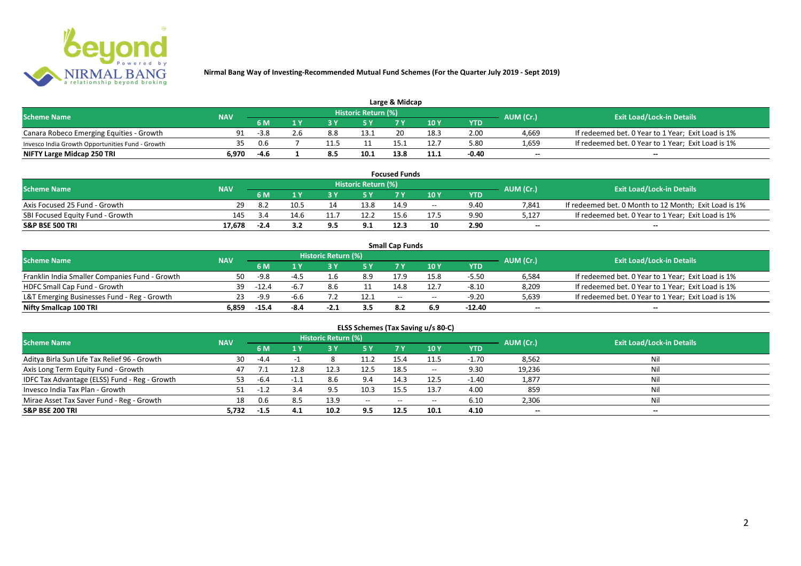

| Large & Midcap                                   |            |        |  |     |                     |      |      |       |                          |                                                    |  |  |  |
|--------------------------------------------------|------------|--------|--|-----|---------------------|------|------|-------|--------------------------|----------------------------------------------------|--|--|--|
| <b>Scheme Name</b>                               | <b>NAV</b> |        |  |     | Historic Return (%) |      |      |       | AUM (Cr.)                | <b>Exit Load/Lock-in Details</b>                   |  |  |  |
|                                                  |            | 6 M    |  |     |                     | 7 M  | 10Y  | YTD   |                          |                                                    |  |  |  |
| Canara Robeco Emerging Equities - Growth         | 91         | $-3.8$ |  | 8.8 | 13.1                |      | 18.5 | 2.00  | 4.669                    | If redeemed bet. 0 Year to 1 Year; Exit Load is 1% |  |  |  |
| Invesco India Growth Opportunities Fund - Growth | 35         | 0.6    |  |     |                     |      |      | 5.80  | 1,659                    | If redeemed bet. 0 Year to 1 Year; Exit Load is 1% |  |  |  |
| NIFTY Large Midcap 250 TRI                       | 5.970      | -4.6   |  |     | 10.1                | 13.8 |      | -0.40 | $\overline{\phantom{a}}$ | $- -$                                              |  |  |  |

|                                  |            |        |      |                     | <b>Focused Funds</b> |       |            |                          |                                                       |
|----------------------------------|------------|--------|------|---------------------|----------------------|-------|------------|--------------------------|-------------------------------------------------------|
| <b>Scheme Name</b>               | <b>NAV</b> |        |      | Historic Return (%) |                      |       |            | AUM (Cr.)                | <b>Exit Load/Lock-in Details</b>                      |
|                                  |            | 6 M    |      | <b>EV</b>           |                      | 10 Y  | <b>YTD</b> |                          |                                                       |
| Axis Focused 25 Fund - Growth    |            |        | 10.5 | 13.8                | 14.9                 | $- -$ | 9.40       | 7.841                    | If redeemed bet. 0 Month to 12 Month; Exit Load is 1% |
| SBI Focused Equity Fund - Growth | 145        |        | 14.6 | 12.2                | 15.6                 |       | 9.90       | 5.127                    | If redeemed bet. 0 Year to 1 Year; Exit Load is 1%    |
| <b>S&amp;P BSE 500 TRI</b>       | 17.678     | $-2.4$ |      | 9.1                 | 12.3                 | 10    | 2.90       | $\overline{\phantom{a}}$ | $- -$                                                 |

|                                                |            |         |      |                     |      | <b>Small Cap Funds</b> |                                       |            |           |                                                    |
|------------------------------------------------|------------|---------|------|---------------------|------|------------------------|---------------------------------------|------------|-----------|----------------------------------------------------|
| <b>Scheme Name</b>                             | <b>NAV</b> |         |      | Historic Return (%) |      |                        |                                       |            | AUM (Cr.) | <b>Exit Load/Lock-in Details</b>                   |
|                                                |            | 6 M     | 1 V  |                     |      |                        | 10Y                                   | <b>YTD</b> |           |                                                    |
| Franklin India Smaller Companies Fund - Growth | 50         | $-9.8$  |      | 1.6                 | 8.9  | 17.9                   | 15.8                                  | $-5.50$    | 6,584     | If redeemed bet. 0 Year to 1 Year; Exit Load is 1% |
| HDFC Small Cap Fund - Growth                   | 39         | $-12.4$ | -6.7 | 8.6                 | 11   | 14.8                   | 12.7                                  | $-8.10$    | 8,209     | If redeemed bet. 0 Year to 1 Year; Exit Load is 1% |
| L&T Emerging Businesses Fund - Reg - Growth    | 23         | $-9.9$  | -6.6 |                     | 12.1 | $- -$                  | $\hspace{0.05cm}$ – $\hspace{0.05cm}$ | $-9.20$    | 5,639     | If redeemed bet. 0 Year to 1 Year; Exit Load is 1% |
| Nifty Smallcap 100 TRI                         | 6.859      | -15.4   | -8.4 | $-2.1$              | 3.5  | 8.2                    |                                       | $-12.40$   | $- -$     | $-$                                                |

|                                               |            |        |      |                     |                                       |           | ELSS Schemes (Tax Saving u/s 80-C)    |            |                          |                                  |
|-----------------------------------------------|------------|--------|------|---------------------|---------------------------------------|-----------|---------------------------------------|------------|--------------------------|----------------------------------|
| <b>Scheme Name</b>                            | <b>NAV</b> |        |      | Historic Return (%) |                                       |           |                                       |            | AUM (Cr.)                | <b>Exit Load/Lock-in Details</b> |
|                                               |            | 6 M    | 4 V  | 3 Y                 | 75 Y                                  | <b>7Y</b> | <b>10 Y</b>                           | <b>YTD</b> |                          |                                  |
| Aditya Birla Sun Life Tax Relief 96 - Growth  | 30         | $-4.4$ |      |                     | 11.2                                  | 15.4      | 11.5                                  | $-1.70$    | 8,562                    | Nil                              |
| Axis Long Term Equity Fund - Growth           | 47         |        | 12.8 | 12.3                | 12.5                                  | 18.5      | $\hspace{0.05cm}$ – $\hspace{0.05cm}$ | 9.30       | 19,236                   | Nil                              |
| IDFC Tax Advantage (ELSS) Fund - Reg - Growth | 53.        | -6.4   | -1.1 | 8.6                 | 9.4                                   | 14.3      | 12.5                                  | $-1.40$    | 1,877                    | Nil                              |
| Invesco India Tax Plan - Growth               |            | $-1.2$ |      |                     | 10.3                                  | 15.5      | 13.7                                  | 4.00       | 859                      | Nil                              |
| Mirae Asset Tax Saver Fund - Reg - Growth     | 18         | 0.6    | 8.5  | 13.9                | $\hspace{0.05cm}$ – $\hspace{0.05cm}$ | $- -$     | $- -$                                 | 6.10       | 2,306                    | Nil                              |
| S&P BSE 200 TRI                               | 5,732      | $-1.5$ | 4.1  | 10.2                | 9.5                                   | 12.5      | 10.1                                  | 4.10       | $\overline{\phantom{a}}$ | $\overline{\phantom{a}}$         |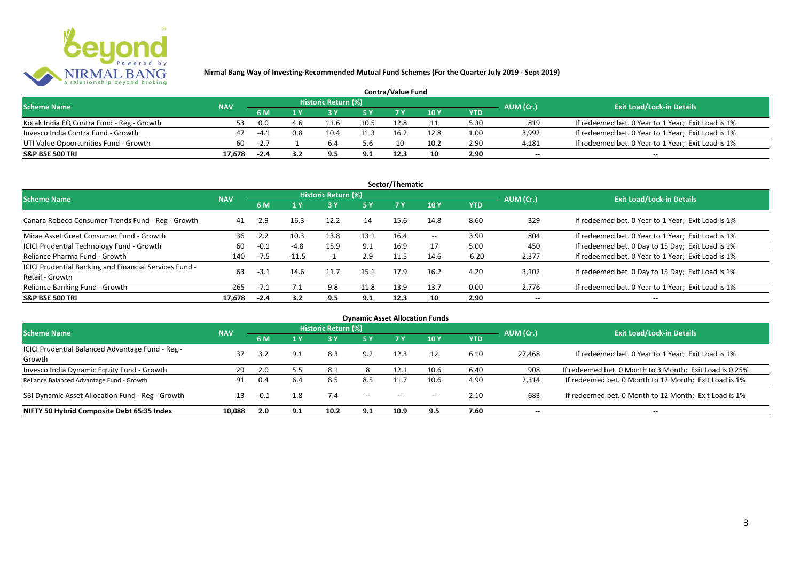

| <b>Contra/Value Fund</b>                  |            |        |     |                     |      |      |      |            |                          |                                                    |  |  |  |
|-------------------------------------------|------------|--------|-----|---------------------|------|------|------|------------|--------------------------|----------------------------------------------------|--|--|--|
| <b>Scheme Name</b>                        | <b>NAV</b> |        |     | Historic Return (%) |      |      |      |            | AUM (Cr.)                | <b>Exit Load/Lock-in Details</b>                   |  |  |  |
|                                           |            | 6 M    |     |                     | E V  |      | 10 Y | <b>YTD</b> |                          |                                                    |  |  |  |
| Kotak India EQ Contra Fund - Reg - Growth |            | 0.0    | 4.6 | 11.6                | 10.5 | 12.8 |      | 5.30       | 819                      | If redeemed bet. 0 Year to 1 Year; Exit Load is 1% |  |  |  |
| Invesco India Contra Fund - Growth        | 47         | $-4.1$ | 0.8 | 10.4                | 11.3 | 16.2 | 12.8 | 1.00       | 3,992                    | If redeemed bet. 0 Year to 1 Year; Exit Load is 1% |  |  |  |
| UTI Value Opportunities Fund - Growth     | 60         | $-2.7$ |     |                     | 5.6  | 10   | 10.2 | 2.90       | 4,181                    | If redeemed bet. 0 Year to 1 Year; Exit Load is 1% |  |  |  |
| <b>S&amp;P BSE 500 TRI</b>                | 17.678     | $-2.4$ |     |                     |      | 12.3 | 10   | 2.90       | $\overline{\phantom{a}}$ | $- -$                                              |  |  |  |

| Sector/Thematic                                                                  |            |                                |         |                     |      |      |                                       |         |           |                                                    |  |  |  |
|----------------------------------------------------------------------------------|------------|--------------------------------|---------|---------------------|------|------|---------------------------------------|---------|-----------|----------------------------------------------------|--|--|--|
| <b>Scheme Name</b>                                                               | <b>NAV</b> |                                |         | Historic Return (%) |      |      |                                       |         | AUM (Cr.) | <b>Exit Load/Lock-in Details</b>                   |  |  |  |
|                                                                                  |            | 6 M<br>$\mathbf{1} \mathbf{V}$ |         | 5 Y                 | 7 Y. | 10Y  | <b>YTD</b>                            |         |           |                                                    |  |  |  |
| Canara Robeco Consumer Trends Fund - Reg - Growth                                | 41         | 2.9                            | 16.3    | 12.2                | 14   | 15.6 | 14.8                                  | 8.60    | 329       | If redeemed bet. 0 Year to 1 Year; Exit Load is 1% |  |  |  |
| Mirae Asset Great Consumer Fund - Growth                                         | 36         | 2.2                            | 10.3    | 13.8                | 13.1 | 16.4 | $\hspace{0.05cm}$ – $\hspace{0.05cm}$ | 3.90    | 804       | If redeemed bet. 0 Year to 1 Year; Exit Load is 1% |  |  |  |
| ICICI Prudential Technology Fund - Growth                                        | 60         | $-0.1$                         | $-4.8$  | 15.9                | 9.1  | 16.9 | 17                                    | 5.00    | 450       | If redeemed bet. 0 Day to 15 Day; Exit Load is 1%  |  |  |  |
| Reliance Pharma Fund - Growth                                                    | 140        | $-7.5$                         | $-11.5$ |                     | 2.9  | 11.5 | 14.6                                  | $-6.20$ | 2,377     | If redeemed bet. 0 Year to 1 Year; Exit Load is 1% |  |  |  |
| <b>ICICI Prudential Banking and Financial Services Fund -</b><br>Retail - Growth | 63         | $-3.1$                         | 14.6    | 11.7                | 15.1 | 17.9 | 16.2                                  | 4.20    | 3,102     | If redeemed bet. 0 Day to 15 Day; Exit Load is 1%  |  |  |  |
| Reliance Banking Fund - Growth                                                   | 265        | $-7.1$                         | 7.1     | 9.8                 | 11.8 | 13.9 | 13.7                                  | 0.00    | 2,776     | If redeemed bet. 0 Year to 1 Year; Exit Load is 1% |  |  |  |
| S&P BSE 500 TRI                                                                  | 17.678     | $-2.4$                         | 3.2     | 9.5                 | 9.1  | 12.3 | 10                                    | 2.90    | $- -$     | $\overline{\phantom{a}}$                           |  |  |  |

| <b>Dynamic Asset Allocation Funds</b>            |            |        |     |                            |                          |                                                |       |            |           |                                                         |  |  |  |
|--------------------------------------------------|------------|--------|-----|----------------------------|--------------------------|------------------------------------------------|-------|------------|-----------|---------------------------------------------------------|--|--|--|
| <b>Scheme Name</b>                               | <b>NAV</b> |        |     | <b>Historic Return (%)</b> |                          |                                                |       |            | AUM (Cr.) | <b>Exit Load/Lock-in Details</b>                        |  |  |  |
|                                                  |            | 6 M    | 1 Y |                            | <b>5 Y</b>               | <b>7Y</b>                                      | 10 Y  | <b>YTD</b> |           |                                                         |  |  |  |
| ICICI Prudential Balanced Advantage Fund - Reg - | 37         | ר ב    |     |                            | 9.2                      | 12.3                                           |       |            |           |                                                         |  |  |  |
| Growth                                           |            |        | 9.1 | 8.3                        |                          |                                                | 12    | 6.10       | 27.468    | If redeemed bet. 0 Year to 1 Year; Exit Load is 1%      |  |  |  |
| Invesco India Dynamic Equity Fund - Growth       | 29         | 2.0    | 5.5 | 8.1                        |                          | 12.1                                           | 10.6  | 6.40       | 908       | If redeemed bet. 0 Month to 3 Month; Exit Load is 0.25% |  |  |  |
| Reliance Balanced Advantage Fund - Growth        | 91         | 0.4    | 6.4 | 8.5                        | 8.5                      | 11.7                                           | 10.6  | 4.90       | 2,314     | If redeemed bet. 0 Month to 12 Month; Exit Load is 1%   |  |  |  |
| SBI Dynamic Asset Allocation Fund - Reg - Growth |            | $-0.1$ | 1.8 | 7.4                        | $\hspace{0.05cm} \ldots$ | $\hspace{0.1mm}-\hspace{0.1mm}-\hspace{0.1mm}$ | $- -$ | 2.10       | 683       | If redeemed bet. 0 Month to 12 Month; Exit Load is 1%   |  |  |  |
| NIFTY 50 Hybrid Composite Debt 65:35 Index       | 10.088     | 2.0    | 9.1 | 10.2                       | 9.1                      | 10.9                                           | 9.5   | 7.60       | $- -$     | $- -$                                                   |  |  |  |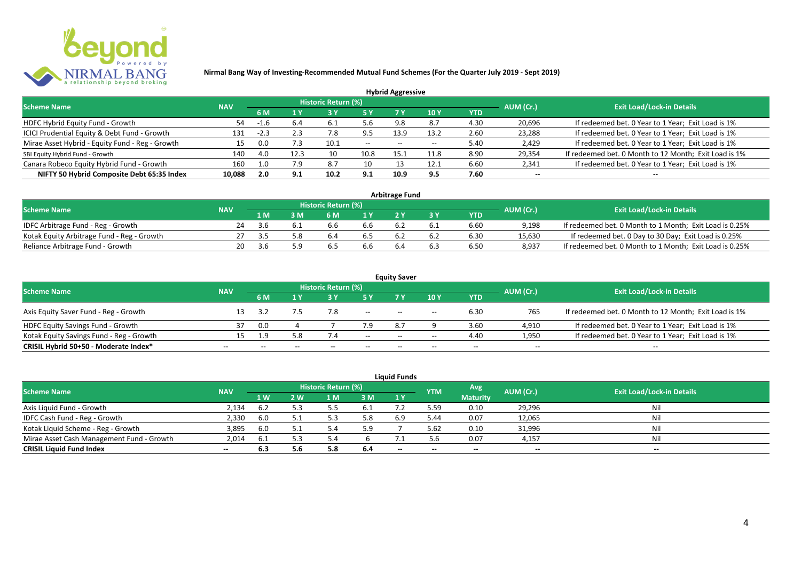

|                                                 |            |        |      |                     |       | <b>Hybrid Aggressive</b> |      |      |           |                                                       |
|-------------------------------------------------|------------|--------|------|---------------------|-------|--------------------------|------|------|-----------|-------------------------------------------------------|
| <b>Scheme Name</b>                              | <b>NAV</b> |        |      | Historic Return (%) |       |                          |      |      | AUM (Cr.) | <b>Exit Load/Lock-in Details</b>                      |
|                                                 |            | 6 M    |      |                     |       | 7 Y                      | 10Y  | YTD  |           |                                                       |
| HDFC Hybrid Equity Fund - Growth                | 54         | -1.U   | 6.4  | 6.1                 | 5.6   | 9.8                      |      | 4.30 | 20,696    | If redeemed bet. 0 Year to 1 Year; Exit Load is 1%    |
| ICICI Prudential Equity & Debt Fund - Growth    | 131        | $-2.3$ | 2.3  | 7.8                 | 9.5   | 13.9                     | 13.2 | 2.60 | 23,288    | If redeemed bet. 0 Year to 1 Year; Exit Load is 1%    |
| Mirae Asset Hybrid - Equity Fund - Reg - Growth |            | 0.0    | 7.3  | 10.1                | $- -$ | $- -$                    |      | 5.40 | 2,429     | If redeemed bet. 0 Year to 1 Year; Exit Load is 1%    |
| SBI Equity Hybrid Fund - Growth                 | 140        | 4.0    | 12.3 | 10                  | 10.8  | 15.1                     | 11.8 | 8.90 | 29,354    | If redeemed bet. 0 Month to 12 Month; Exit Load is 1% |
| Canara Robeco Equity Hybrid Fund - Growth       | 160        | 1.0    | 7.9  | 8.7                 | 10    |                          | 12.1 | 6.60 | 2,341     | If redeemed bet. 0 Year to 1 Year; Exit Load is 1%    |
| NIFTY 50 Hybrid Composite Debt 65:35 Index      | 10.088     | 2.0    | 9.1  | 10.2                | 9.1   | 10.9                     | 9.5  | 7.60 | $\sim$    | $- -$                                                 |

|                                            |            |     |                            |     | <b>Arbitrage Fund</b> |            |           |                                                         |
|--------------------------------------------|------------|-----|----------------------------|-----|-----------------------|------------|-----------|---------------------------------------------------------|
| <b>Scheme Name</b>                         | <b>NAV</b> |     | <b>Historic Return (%)</b> |     |                       |            | AUM (Cr.) | <b>Exit Load/Lock-in Details</b>                        |
|                                            |            | 1 M | 6 M                        |     |                       | <b>YTD</b> |           |                                                         |
| IDFC Arbitrage Fund - Reg - Growth         | 24         |     | 6.6                        | 6.6 |                       | 6.60       | 9,198     | If redeemed bet. 0 Month to 1 Month; Exit Load is 0.25% |
| Kotak Equity Arbitrage Fund - Reg - Growth |            | 3.5 | 6.4                        | b.5 |                       | 6.30       | 15,630    | If redeemed bet. 0 Day to 30 Day; Exit Load is 0.25%    |
| Reliance Arbitrage Fund - Growth           | 20         |     |                            | b.b |                       | 6.50       | 8.937     | If redeemed bet. 0 Month to 1 Month; Exit Load is 0.25% |

|                                          |            |     |              |                     |        | <b>Equity Saver</b> |                          |        |                          |                                                       |
|------------------------------------------|------------|-----|--------------|---------------------|--------|---------------------|--------------------------|--------|--------------------------|-------------------------------------------------------|
| <b>Scheme Name</b>                       | <b>NAV</b> |     |              | Historic Return (%) |        |                     |                          |        | AUM (Cr.)                | <b>Exit Load/Lock-in Details</b>                      |
|                                          |            | 6 M |              |                     |        |                     | 10 Y                     | YTD    |                          |                                                       |
| Axis Equity Saver Fund - Reg - Growth    |            |     |              | 7.8                 | $- -$  | $- -$               | $\overline{\phantom{a}}$ | 6.30   | 765                      | If redeemed bet. 0 Month to 12 Month; Exit Load is 1% |
| <b>HDFC Equity Savings Fund - Growth</b> |            | 0.0 |              |                     | 7.9    | 8.7                 |                          | 3.60   | 4,910                    | If redeemed bet. 0 Year to 1 Year; Exit Load is 1%    |
| Kotak Equity Savings Fund - Reg - Growth | . בי       | 1.9 | 5.8          |                     | $- -$  | $- -$               | $\overline{\phantom{a}}$ | 4.40   | 1,950                    | If redeemed bet. 0 Year to 1 Year; Exit Load is 1%    |
| CRISIL Hybrid 50+50 - Moderate Index*    | $- -$      | $-$ | $\mathbf{m}$ | $- -$               | $\sim$ | $- -$               | $- -$                    | $\sim$ | $\overline{\phantom{a}}$ | $\overline{\phantom{a}}$                              |

|                                           |            |     |     |                     |      | <b>Liquid Funds</b> |            |                          |                          |                                  |
|-------------------------------------------|------------|-----|-----|---------------------|------|---------------------|------------|--------------------------|--------------------------|----------------------------------|
| <b>Scheme Name</b>                        | <b>NAV</b> |     |     | Historic Return (%) |      |                     | <b>YTM</b> | Avg                      | AUM (Cr.)                | <b>Exit Load/Lock-in Details</b> |
|                                           |            | 1W  | 2 W | 1 M                 | 3 M  | 1Y                  |            | <b>Maturity</b>          |                          |                                  |
| Axis Liquid Fund - Growth                 | 2,134      | 6.2 |     |                     | -6.1 |                     | 5.59       | 0.10                     | 29,296                   | Nil                              |
| IDFC Cash Fund - Reg - Growth             | 2,330      | 6.0 |     |                     | 5.8  | 6.9                 | 5.44       | 0.07                     | 12,065                   | Nil                              |
| Kotak Liquid Scheme - Reg - Growth        | 3,895      | 6.0 |     |                     | 5.9  |                     | 5.62       | 0.10                     | 31,996                   | Nil                              |
| Mirae Asset Cash Management Fund - Growth | 2,014      | 6.1 |     |                     |      |                     | 5.6        | 0.07                     | 4,157                    | Nil                              |
| <b>CRISIL Liquid Fund Index</b>           | $\sim$     | 6.3 |     | 5.8                 | -6.4 | $- -$               | --         | $\overline{\phantom{a}}$ | $\overline{\phantom{a}}$ | $-$                              |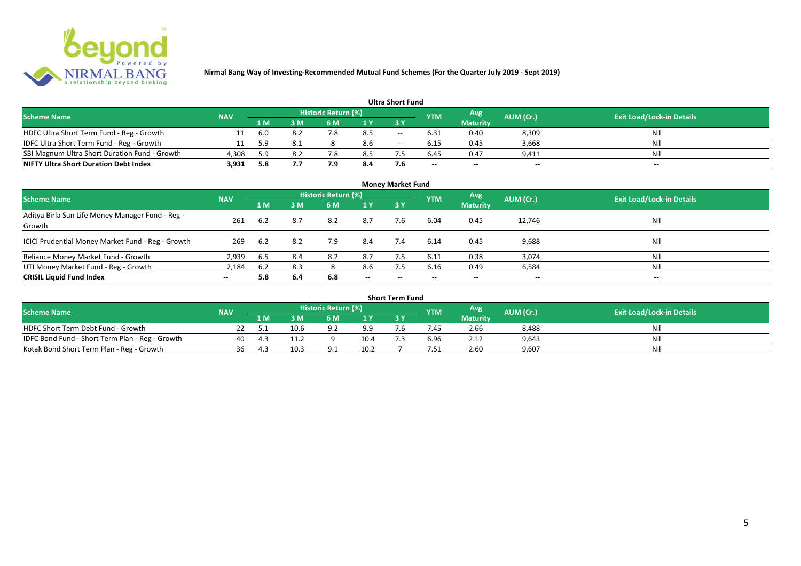

#### **1 M 3 M 6 M 1 Y 3 Y** NOFC Ultra Short Term Fund - Reg - Growth 11 6.0 8.2 7.8 8.5 -- 6.31 0.40 8,309 Nil<br>10 IDFC Ultra Short Term Fund - Reg - Growth 11 5.9 8.1 8 8.6 -- 6.15 0.45 3,668 Nil 1999 IDFC Ultra Short Term Fund - Reg - Growth 11 5.9 8.1 8 8.6 -- 6.15 0.45 3,668 Nil Nil<br>11 5.9 8.1 8 8.6 -- 6.15 0.45 3,668 Nil Nil SBI Magnum Ultra Short Duration Fund - Growth 4.308 5.9 8.2 7.8 8.5 7.5 6.45 0.47 9.411 SBI Magnum Ultra Short Duration Fund - Growth 4,308 5.9 8.2 7.8 8.5 7.5 6.45 0.47 9,411 Nil **NIFTY Ultra Short Duration Debt Index Avg Maturity Historic Return (%) YTM Ultra Short Fund** Scheme Name **NAV NAV Historic Return (%)** NAV Historic Return (%) Note and the May AUM (Cr.) Exit Load/Lock-in Details<br>The Scheme Name of the State Load/Lock-in Details

|                                                            | <b>Money Market Fund</b> |      |     |                            |                          |           |            |                          |                          |                                  |  |  |  |  |
|------------------------------------------------------------|--------------------------|------|-----|----------------------------|--------------------------|-----------|------------|--------------------------|--------------------------|----------------------------------|--|--|--|--|
| <b>Scheme Name</b>                                         | <b>NAV</b>               |      |     | <b>Historic Return (%)</b> |                          |           | <b>YTM</b> | Avg                      | AUM (Cr.)                | <b>Exit Load/Lock-in Details</b> |  |  |  |  |
|                                                            |                          | 1 M  | 3M  | 6 M                        | 1Y                       | <b>3Y</b> |            | <b>Maturity</b>          |                          |                                  |  |  |  |  |
| Aditya Birla Sun Life Money Manager Fund - Reg -<br>Growth | 261                      | 6.2  | 8.7 | 8.2                        | 8.7                      | 7.6       | 6.04       | 0.45                     | 12,746                   | Nil                              |  |  |  |  |
| ICICI Prudential Money Market Fund - Reg - Growth          | 269                      | -6.2 | 8.2 | 7.9                        | 8.4                      | 7.4       | 6.14       | 0.45                     | 9,688                    | Nil                              |  |  |  |  |
| Reliance Money Market Fund - Growth                        | 2,939                    | 6.5  | 8.4 | 8.2                        | 8.7                      |           | 6.11       | 0.38                     | 3,074                    | Nil                              |  |  |  |  |
| UTI Money Market Fund - Reg - Growth                       | 2,184                    | 6.2  | 8.3 |                            | 8.6                      | 7.5       | 6.16       | 0.49                     | 6,584                    | Nil                              |  |  |  |  |
| <b>CRISIL Liquid Fund Index</b>                            | $- -$                    | 5.8  | 6.4 | 6.8                        | $\overline{\phantom{a}}$ | $- -$     | $\!-$      | $\overline{\phantom{a}}$ | $\overline{\phantom{a}}$ | $\sim$                           |  |  |  |  |

| Short Term Fund                                 |            |     |      |                     |      |  |            |                 |           |                                  |  |  |  |
|-------------------------------------------------|------------|-----|------|---------------------|------|--|------------|-----------------|-----------|----------------------------------|--|--|--|
| <b>Scheme Name</b>                              | <b>NAV</b> |     |      | Historic Return (%) |      |  | <b>YTM</b> | <b>Avg</b>      | AUM (Cr.) | <b>Exit Load/Lock-in Details</b> |  |  |  |
|                                                 |            | 1 M | R M  | 6 M                 | 1 V  |  |            | <b>Maturity</b> |           |                                  |  |  |  |
| HDFC Short Term Debt Fund - Growth              |            |     | 10.6 |                     | 9.9  |  | .45        | 2.66            | 8,488     | Nil                              |  |  |  |
| IDFC Bond Fund - Short Term Plan - Reg - Growth | 40         |     | 11.2 |                     | 10.4 |  | 6.96       | 2.12            | 9,643     | Nil                              |  |  |  |
| Kotak Bond Short Term Plan - Reg - Growth       | 36         |     | 10.3 |                     | 10.2 |  | '.51       | 2.60            | 9,607     | Nil                              |  |  |  |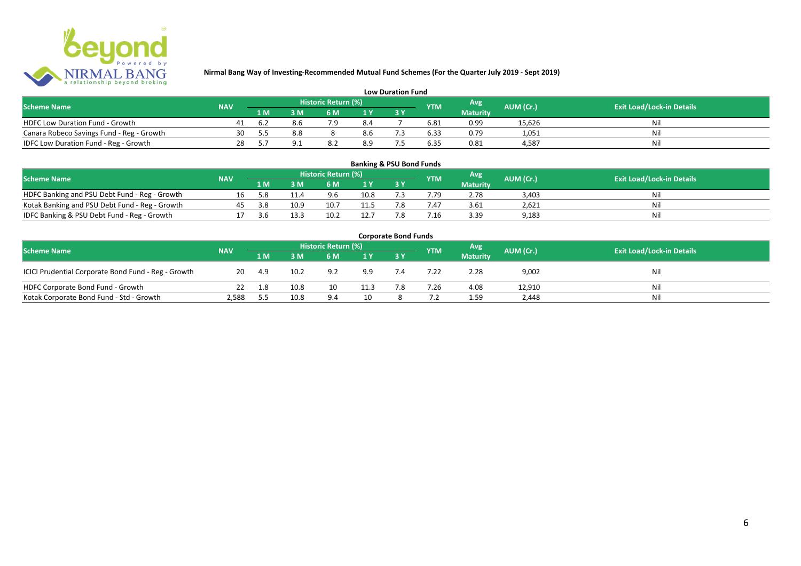

| <b>Low Duration Fund</b>                  |            |     |     |                     |     |  |            |                 |           |                                  |  |  |  |
|-------------------------------------------|------------|-----|-----|---------------------|-----|--|------------|-----------------|-----------|----------------------------------|--|--|--|
| <b>Scheme Name</b>                        | <b>NAV</b> |     |     | Historic Return (%) |     |  | <b>YTM</b> | Avg             | AUM (Cr.) | <b>Exit Load/Lock-in Details</b> |  |  |  |
|                                           |            | 1 M |     | 6 M.                |     |  |            | <b>Maturity</b> |           |                                  |  |  |  |
| <b>HDFC Low Duration Fund - Growth</b>    |            |     |     |                     | 8.4 |  | 6.81       | 0.99            | 15,626    | Nli                              |  |  |  |
| Canara Robeco Savings Fund - Reg - Growth | 30         |     | 8.8 |                     | 8.6 |  | 6.33       | 0.79            | 1,051     | Ni                               |  |  |  |
| IDFC Low Duration Fund - Reg - Growth     | 28         |     |     |                     | 8.9 |  | 6.35       | 0.81            | 4.587     | Ni                               |  |  |  |

#### **1 M 3 M 6 M 1 Y 3 Y** Notak Banking and PSU Debt Fund - Reg - Growth 16 5.8 11.4 9.6 10.8 7.3 7.79 2.78 3,403 Nil<br>
Kotak Banking and PSU Debt Fund - Reg - Growth 45 3.8 10.9 10.7 11.5 7.8 7.47 3.61 2,621 Nil Notak Banking and PSU Debt Fund - Reg - Growth <br>
17 3.6 13.3 10.2 12.7 7.8 7.47 3.3 13.3 9 9,183 9.183 9.183 11.9 11.5 1.47 1.47 1.47 1.47 1.47 1.47 1.6 1.621 IDFC Banking & PSU Debt Fund - Reg - Growth 17 3.6 13.3 10.2 12.7 7.8 7.16 3.39 9,183 **Banking & PSU Bond Funds Scheme Name NAV REGISTER AUM (Cr.) AUM (Cr.)** Exit Load/Lock-in Details **Historic Return (%) Maturity**

| <b>Corporate Bond Funds</b>                         |            |       |      |                            |      |       |            |                 |           |                                  |  |  |  |
|-----------------------------------------------------|------------|-------|------|----------------------------|------|-------|------------|-----------------|-----------|----------------------------------|--|--|--|
| <b>Scheme Name</b>                                  | <b>NAV</b> |       |      | <b>Historic Return (%)</b> |      |       | <b>YTM</b> | Avg             | AUM (Cr.) | <b>Exit Load/Lock-in Details</b> |  |  |  |
|                                                     |            | 1 M   | 3 M  | 6 M                        | 1 Y  | $-3V$ |            | <b>Maturity</b> |           |                                  |  |  |  |
| ICICI Prudential Corporate Bond Fund - Reg - Growth | 20         | - 4.9 | 10.2 | 9.2                        | 9.9  |       | 7.22       | 2.28            | 9,002     | Nil                              |  |  |  |
| HDFC Corporate Bond Fund - Growth                   | 22         | 1.8   | 10.8 | 10                         | 11.3 | 7.8   | 7.26       | 4.08            | 12,910    | Nil                              |  |  |  |
| Kotak Corporate Bond Fund - Std - Growth            | 2.588      | 5.5   | 10.8 | 9.4                        | 10   |       |            | 1.59            | 2,448     | Nil                              |  |  |  |